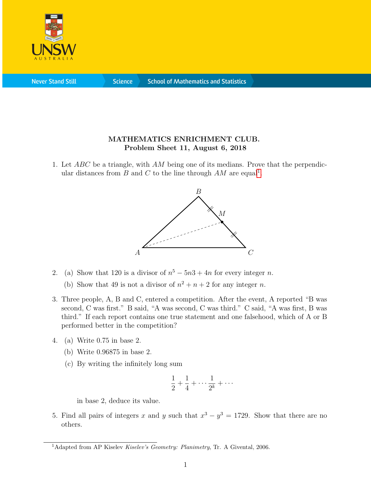

**Never Stand Still** 

**Science** 

## MATHEMATICS ENRICHMENT CLUB. Problem Sheet 11, August 6, 2018

1. Let ABC be a triangle, with AM being one of its medians. Prove that the perpendicular distances from  $B$  and  $C$  to the line through  $AM$  are equal<sup>[1](#page-0-0)</sup>.



- 2. (a) Show that 120 is a divisor of  $n^5 5n^3 + 4n$  for every integer n.
	- (b) Show that 49 is not a divisor of  $n^2 + n + 2$  for any integer n.
- 3. Three people, A, B and C, entered a competition. After the event, A reported "B was second, C was first." B said, "A was second, C was third." C said, "A was first, B was third." If each report contains one true statement and one falsehood, which of A or B performed better in the competition?
- 4. (a) Write 0.75 in base 2.
	- (b) Write 0.96875 in base 2.
	- (c) By writing the infinitely long sum

$$
\frac{1}{2} + \frac{1}{4} + \dots + \frac{1}{2^k} + \dots
$$

in base 2, deduce its value.

5. Find all pairs of integers x and y such that  $x^3 - y^3 = 1729$ . Show that there are no others.

<span id="page-0-0"></span><sup>&</sup>lt;sup>1</sup>Adapted from AP Kiselev Kiselev's Geometry: Planimetry, Tr. A Givental, 2006.